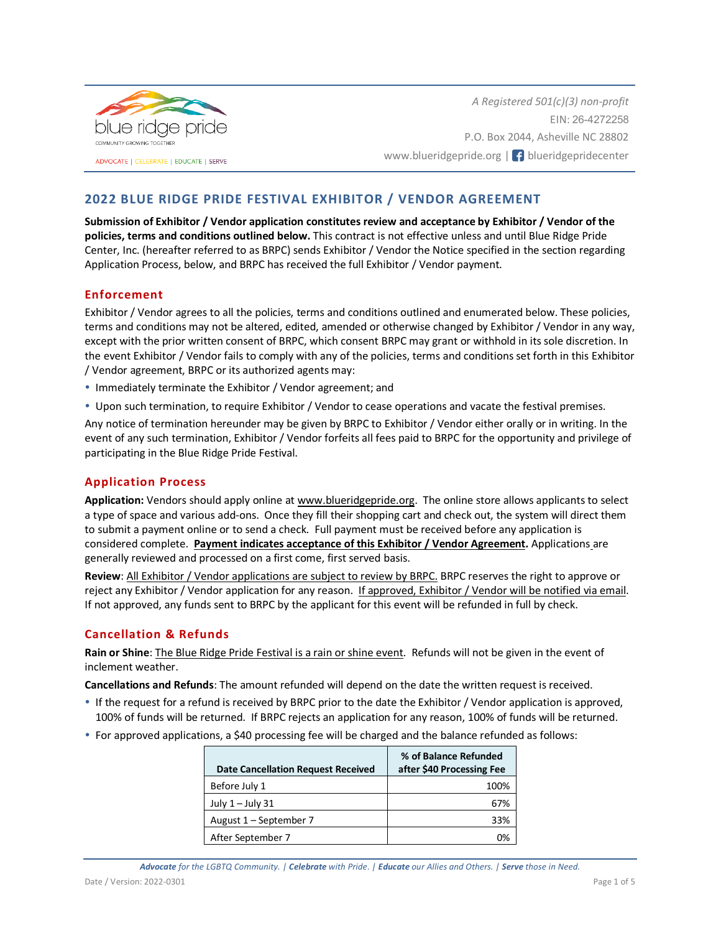

*A Registered 501(c)(3) non-profit* EIN: 26-4272258 P.O. Box 2044, Asheville NC 28802 www.blueridgepride.org | f blueridgepridecenter

# **2022 BLUE RIDGE PRIDE FESTIVAL EXHIBITOR / VENDOR AGREEMENT**

**Submission of Exhibitor / Vendor application constitutes review and acceptance by Exhibitor / Vendor of the policies, terms and conditions outlined below.** This contract is not effective unless and until Blue Ridge Pride Center, Inc. (hereafter referred to as BRPC) sends Exhibitor / Vendor the Notice specified in the section regarding Application Process, below, and BRPC has received the full Exhibitor / Vendor payment.

# **Enforcement**

Exhibitor / Vendor agrees to all the policies, terms and conditions outlined and enumerated below. These policies, terms and conditions may not be altered, edited, amended or otherwise changed by Exhibitor / Vendor in any way, except with the prior written consent of BRPC, which consent BRPC may grant or withhold in its sole discretion. In the event Exhibitor / Vendor fails to comply with any of the policies, terms and conditions set forth in this Exhibitor / Vendor agreement, BRPC or its authorized agents may:

- Immediately terminate the Exhibitor / Vendor agreement; and
- Upon such termination, to require Exhibitor / Vendor to cease operations and vacate the festival premises.

Any notice of termination hereunder may be given by BRPC to Exhibitor / Vendor either orally or in writing. In the event of any such termination, Exhibitor / Vendor forfeits all fees paid to BRPC for the opportunity and privilege of participating in the Blue Ridge Pride Festival.

### **Application Process**

**Application:** Vendors should apply online a[t www.blueridgepride.org.](http://www.blueridgepride.org/) The online store allows applicants to select a type of space and various add-ons. Once they fill their shopping cart and check out, the system will direct them to submit a payment online or to send a check. Full payment must be received before any application is considered complete. **Payment indicates acceptance of this Exhibitor / Vendor Agreement.** Applications are generally reviewed and processed on a first come, first served basis.

**Review**: All Exhibitor / Vendor applications are subject to review by BRPC. BRPC reserves the right to approve or reject any Exhibitor / Vendor application for any reason. If approved, Exhibitor / Vendor will be notified via email. If not approved, any funds sent to BRPC by the applicant for this event will be refunded in full by check.

# **Cancellation & Refunds**

**Rain or Shine**: The Blue Ridge Pride Festival is a rain or shine event. Refunds will not be given in the event of inclement weather.

**Cancellations and Refunds**: The amount refunded will depend on the date the written request is received.

- If the request for a refund is received by BRPC prior to the date the Exhibitor / Vendor application is approved, 100% of funds will be returned. If BRPC rejects an application for any reason, 100% of funds will be returned.
- For approved applications, a \$40 processing fee will be charged and the balance refunded as follows:

| <b>Date Cancellation Request Received</b> | % of Balance Refunded<br>after \$40 Processing Fee |
|-------------------------------------------|----------------------------------------------------|
| Before July 1                             | 100%                                               |
| July $1 -$ July 31                        | 67%                                                |
| August 1 – September 7                    | 33%                                                |
| After September 7                         |                                                    |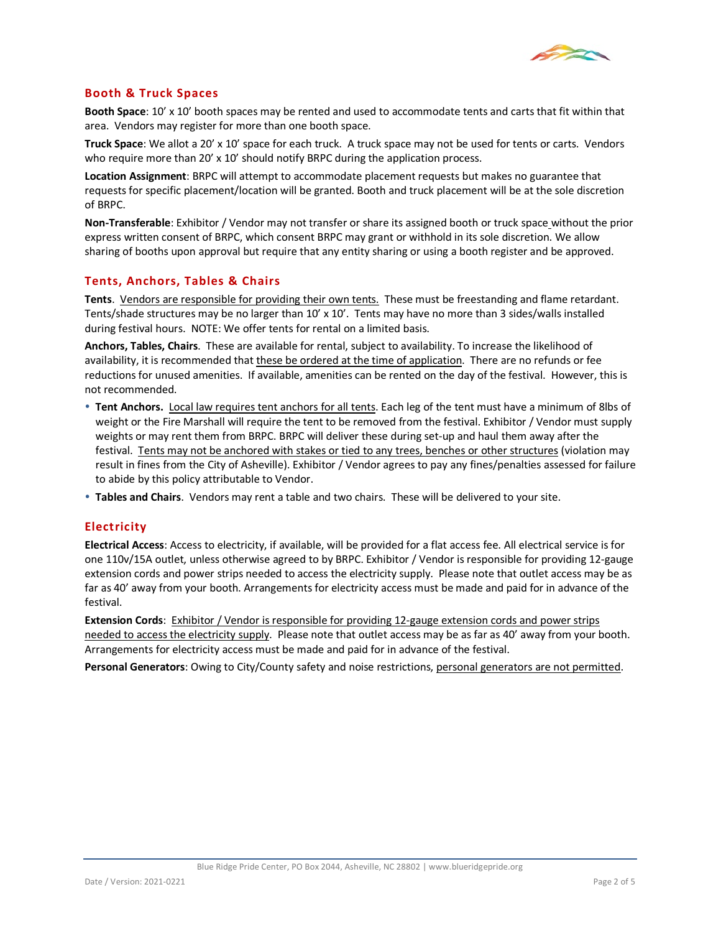

## **Booth & Truck Spaces**

**Booth Space**: 10' x 10' booth spaces may be rented and used to accommodate tents and carts that fit within that area. Vendors may register for more than one booth space.

**Truck Space**: We allot a 20' x 10' space for each truck. A truck space may not be used for tents or carts. Vendors who require more than 20' x 10' should notify BRPC during the application process.

**Location Assignment**: BRPC will attempt to accommodate placement requests but makes no guarantee that requests for specific placement/location will be granted. Booth and truck placement will be at the sole discretion of BRPC.

**Non-Transferable**: Exhibitor / Vendor may not transfer or share its assigned booth or truck space without the prior express written consent of BRPC, which consent BRPC may grant or withhold in its sole discretion. We allow sharing of booths upon approval but require that any entity sharing or using a booth register and be approved.

## **Tents, Anchors, Tables & Chairs**

**Tents**. Vendors are responsible for providing their own tents. These must be freestanding and flame retardant. Tents/shade structures may be no larger than 10' x 10'. Tents may have no more than 3 sides/walls installed during festival hours. NOTE: We offer tents for rental on a limited basis.

**Anchors, Tables, Chairs**. These are available for rental, subject to availability. To increase the likelihood of availability, it is recommended that these be ordered at the time of application. There are no refunds or fee reductions for unused amenities. If available, amenities can be rented on the day of the festival. However, this is not recommended.

- **Tent Anchors.** Local law requires tent anchors for all tents. Each leg of the tent must have a minimum of 8lbs of weight or the Fire Marshall will require the tent to be removed from the festival. Exhibitor / Vendor must supply weights or may rent them from BRPC. BRPC will deliver these during set-up and haul them away after the festival. Tents may not be anchored with stakes or tied to any trees, benches or other structures (violation may result in fines from the City of Asheville). Exhibitor / Vendor agrees to pay any fines/penalties assessed for failure to abide by this policy attributable to Vendor.
- **Tables and Chairs**. Vendors may rent a table and two chairs. These will be delivered to your site.

### **Electricity**

**Electrical Access**: Access to electricity, if available, will be provided for a flat access fee. All electrical service is for one 110v/15A outlet, unless otherwise agreed to by BRPC. Exhibitor / Vendor is responsible for providing 12-gauge extension cords and power strips needed to access the electricity supply. Please note that outlet access may be as far as 40' away from your booth. Arrangements for electricity access must be made and paid for in advance of the festival.

**Extension Cords**: Exhibitor / Vendor is responsible for providing 12-gauge extension cords and power strips needed to access the electricity supply. Please note that outlet access may be as far as 40' away from your booth. Arrangements for electricity access must be made and paid for in advance of the festival.

**Personal Generators**: Owing to City/County safety and noise restrictions, personal generators are not permitted.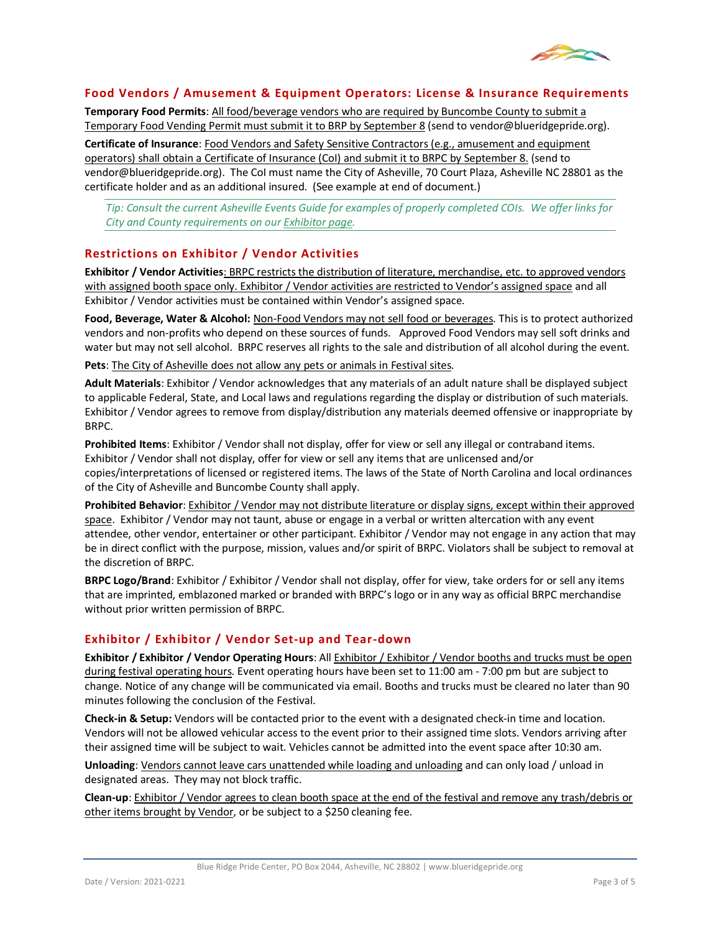

### **Food Vendors / Amusement & Equipment Operators: License & Insurance Requirements**

**Temporary Food Permits**: All food/beverage vendors who are required by Buncombe County to submit a Temporary Food Vending Permit must submit it to BRP by September 8 (send to vendor@blueridgepride.org).

**Certificate of Insurance**: Food Vendors and Safety Sensitive Contractors (e.g., amusement and equipment operators) shall obtain a Certificate of Insurance (CoI) and submit it to BRPC by September 8. (send to vendor@blueridgepride.org). The CoI must name the City of Asheville, 70 Court Plaza, Asheville NC 28801 as the certificate holder and as an additional insured. (See example at end of document.)

*Tip: Consult the current Asheville Events Guide for examples of properly completed COIs. We offer links for City and County requirements on our [Exhibitor page.](https://blueridgepride.org/pride-central/vendors/)*

## **Restrictions on Exhibitor / Vendor Activities**

**Exhibitor / Vendor Activities**: BRPC restricts the distribution of literature, merchandise, etc. to approved vendors with assigned booth space only. Exhibitor / Vendor activities are restricted to Vendor's assigned space and all Exhibitor / Vendor activities must be contained within Vendor's assigned space.

**Food, Beverage, Water & Alcohol:** Non-Food Vendors may not sell food or beverages. This is to protect authorized vendors and non-profits who depend on these sources of funds. Approved Food Vendors may sell soft drinks and water but may not sell alcohol. BRPC reserves all rights to the sale and distribution of all alcohol during the event.

**Pets**: The City of Asheville does not allow any pets or animals in Festival sites.

**Adult Materials**: Exhibitor / Vendor acknowledges that any materials of an adult nature shall be displayed subject to applicable Federal, State, and Local laws and regulations regarding the display or distribution of such materials. Exhibitor / Vendor agrees to remove from display/distribution any materials deemed offensive or inappropriate by BRPC.

**Prohibited Items**: Exhibitor / Vendor shall not display, offer for view or sell any illegal or contraband items. Exhibitor / Vendor shall not display, offer for view or sell any items that are unlicensed and/or copies/interpretations of licensed or registered items. The laws of the State of North Carolina and local ordinances of the City of Asheville and Buncombe County shall apply.

**Prohibited Behavior**: Exhibitor / Vendor may not distribute literature or display signs, except within their approved space. Exhibitor / Vendor may not taunt, abuse or engage in a verbal or written altercation with any event attendee, other vendor, entertainer or other participant. Exhibitor / Vendor may not engage in any action that may be in direct conflict with the purpose, mission, values and/or spirit of BRPC. Violators shall be subject to removal at the discretion of BRPC.

**BRPC Logo/Brand**: Exhibitor / Exhibitor / Vendor shall not display, offer for view, take orders for or sell any items that are imprinted, emblazoned marked or branded with BRPC's logo or in any way as official BRPC merchandise without prior written permission of BRPC.

### **Exhibitor / Exhibitor / Vendor Set-up and Tear-down**

**Exhibitor / Exhibitor / Vendor Operating Hours**: All Exhibitor / Exhibitor / Vendor booths and trucks must be open during festival operating hours. Event operating hours have been set to 11:00 am - 7:00 pm but are subject to change. Notice of any change will be communicated via email. Booths and trucks must be cleared no later than 90 minutes following the conclusion of the Festival.

**Check-in & Setup:** Vendors will be contacted prior to the event with a designated check-in time and location. Vendors will not be allowed vehicular access to the event prior to their assigned time slots. Vendors arriving after their assigned time will be subject to wait. Vehicles cannot be admitted into the event space after 10:30 am.

**Unloading**: Vendors cannot leave cars unattended while loading and unloading and can only load / unload in designated areas. They may not block traffic.

**Clean-up**: Exhibitor / Vendor agrees to clean booth space at the end of the festival and remove any trash/debris or other items brought by Vendor, or be subject to a \$250 cleaning fee.

Blue Ridge Pride Center, PO Box 2044, Asheville, NC 28802 | www.blueridgepride.org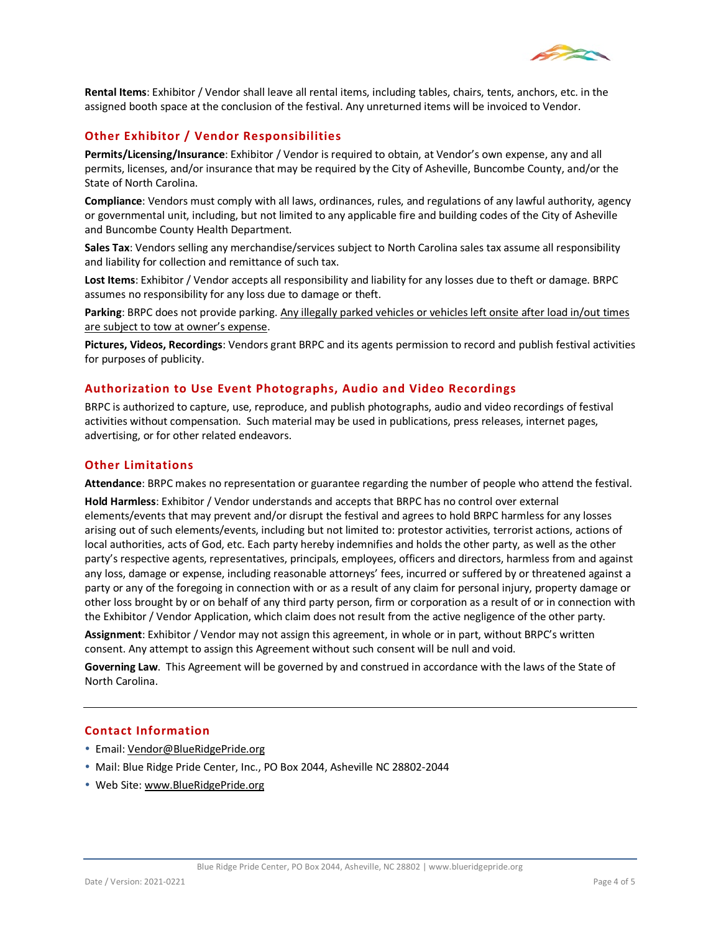

**Rental Items**: Exhibitor / Vendor shall leave all rental items, including tables, chairs, tents, anchors, etc. in the assigned booth space at the conclusion of the festival. Any unreturned items will be invoiced to Vendor.

## **Other Exhibitor / Vendor Responsibilities**

**Permits/Licensing/Insurance**: Exhibitor / Vendor is required to obtain, at Vendor's own expense, any and all permits, licenses, and/or insurance that may be required by the City of Asheville, Buncombe County, and/or the State of North Carolina.

**Compliance**: Vendors must comply with all laws, ordinances, rules, and regulations of any lawful authority, agency or governmental unit, including, but not limited to any applicable fire and building codes of the City of Asheville and Buncombe County Health Department.

**Sales Tax**: Vendors selling any merchandise/services subject to North Carolina sales tax assume all responsibility and liability for collection and remittance of such tax.

**Lost Items**: Exhibitor / Vendor accepts all responsibility and liability for any losses due to theft or damage. BRPC assumes no responsibility for any loss due to damage or theft.

**Parking**: BRPC does not provide parking. Any illegally parked vehicles or vehicles left onsite after load in/out times are subject to tow at owner's expense.

**Pictures, Videos, Recordings**: Vendors grant BRPC and its agents permission to record and publish festival activities for purposes of publicity.

## **Authorization to Use Event Photographs, Audio and Video Recordings**

BRPC is authorized to capture, use, reproduce, and publish photographs, audio and video recordings of festival activities without compensation. Such material may be used in publications, press releases, internet pages, advertising, or for other related endeavors.

#### **Other Limitations**

**Attendance**: BRPC makes no representation or guarantee regarding the number of people who attend the festival.

**Hold Harmless**: Exhibitor / Vendor understands and accepts that BRPC has no control over external elements/events that may prevent and/or disrupt the festival and agrees to hold BRPC harmless for any losses arising out of such elements/events, including but not limited to: protestor activities, terrorist actions, actions of local authorities, acts of God, etc. Each party hereby indemnifies and holds the other party, as well as the other party's respective agents, representatives, principals, employees, officers and directors, harmless from and against any loss, damage or expense, including reasonable attorneys' fees, incurred or suffered by or threatened against a party or any of the foregoing in connection with or as a result of any claim for personal injury, property damage or other loss brought by or on behalf of any third party person, firm or corporation as a result of or in connection with the Exhibitor / Vendor Application, which claim does not result from the active negligence of the other party.

**Assignment**: Exhibitor / Vendor may not assign this agreement, in whole or in part, without BRPC's written consent. Any attempt to assign this Agreement without such consent will be null and void.

**Governing Law**. This Agreement will be governed by and construed in accordance with the laws of the State of North Carolina.

### **Contact Information**

- Email[: Vendor@BlueRidgePride.org](mailto:Vendor@BlueRidgePride.org)
- Mail: Blue Ridge Pride Center, Inc., PO Box 2044, Asheville NC 28802-2044
- Web Site[: www.BlueRidgePride.org](http://www.blueridgepride.org/)